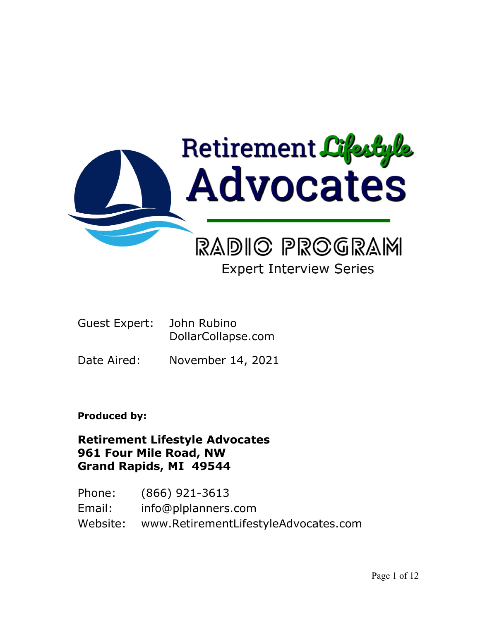

# **Expert Interview Series**

| Guest Expert: John Rubino |                    |
|---------------------------|--------------------|
|                           | DollarCollapse.com |
|                           |                    |

Date Aired: November 14, 2021

**Produced by:**

**Retirement Lifestyle Advocates 961 Four Mile Road, NW Grand Rapids, MI 49544**

Phone: (866) 921-3613 Email: info@plplanners.com Website: www.RetirementLifestyleAdvocates.com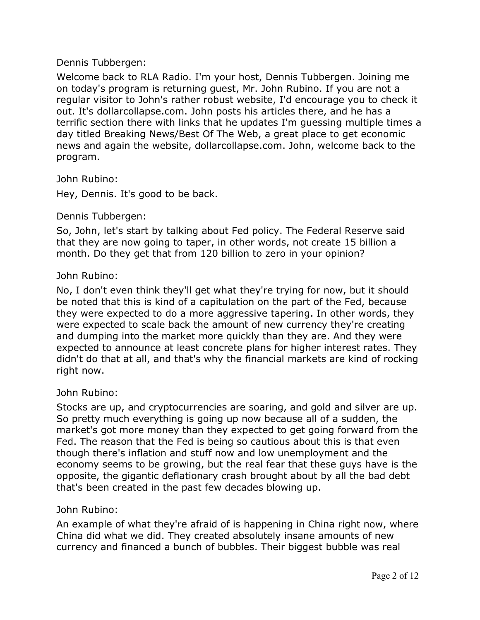## Dennis Tubbergen:

Welcome back to RLA Radio. I'm your host, Dennis Tubbergen. Joining me on today's program is returning guest, Mr. John Rubino. If you are not a regular visitor to John's rather robust website, I'd encourage you to check it out. It's dollarcollapse.com. John posts his articles there, and he has a terrific section there with links that he updates I'm guessing multiple times a day titled Breaking News/Best Of The Web, a great place to get economic news and again the website, dollarcollapse.com. John, welcome back to the program.

John Rubino:

Hey, Dennis. It's good to be back.

Dennis Tubbergen:

So, John, let's start by talking about Fed policy. The Federal Reserve said that they are now going to taper, in other words, not create 15 billion a month. Do they get that from 120 billion to zero in your opinion?

## John Rubino:

No, I don't even think they'll get what they're trying for now, but it should be noted that this is kind of a capitulation on the part of the Fed, because they were expected to do a more aggressive tapering. In other words, they were expected to scale back the amount of new currency they're creating and dumping into the market more quickly than they are. And they were expected to announce at least concrete plans for higher interest rates. They didn't do that at all, and that's why the financial markets are kind of rocking right now.

# John Rubino:

Stocks are up, and cryptocurrencies are soaring, and gold and silver are up. So pretty much everything is going up now because all of a sudden, the market's got more money than they expected to get going forward from the Fed. The reason that the Fed is being so cautious about this is that even though there's inflation and stuff now and low unemployment and the economy seems to be growing, but the real fear that these guys have is the opposite, the gigantic deflationary crash brought about by all the bad debt that's been created in the past few decades blowing up.

# John Rubino:

An example of what they're afraid of is happening in China right now, where China did what we did. They created absolutely insane amounts of new currency and financed a bunch of bubbles. Their biggest bubble was real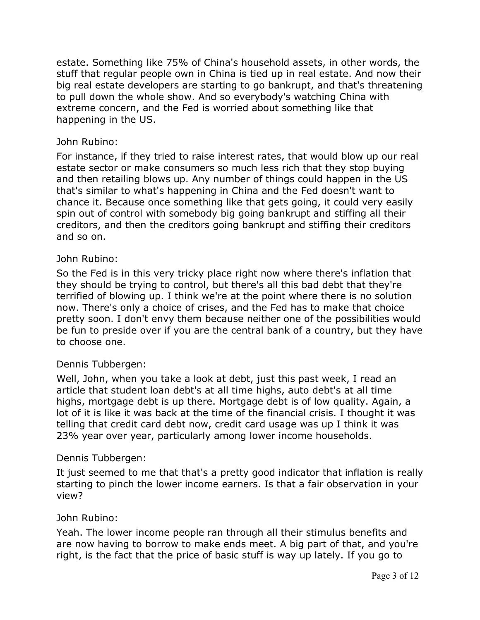estate. Something like 75% of China's household assets, in other words, the stuff that regular people own in China is tied up in real estate. And now their big real estate developers are starting to go bankrupt, and that's threatening to pull down the whole show. And so everybody's watching China with extreme concern, and the Fed is worried about something like that happening in the US.

# John Rubino:

For instance, if they tried to raise interest rates, that would blow up our real estate sector or make consumers so much less rich that they stop buying and then retailing blows up. Any number of things could happen in the US that's similar to what's happening in China and the Fed doesn't want to chance it. Because once something like that gets going, it could very easily spin out of control with somebody big going bankrupt and stiffing all their creditors, and then the creditors going bankrupt and stiffing their creditors and so on.

# John Rubino:

So the Fed is in this very tricky place right now where there's inflation that they should be trying to control, but there's all this bad debt that they're terrified of blowing up. I think we're at the point where there is no solution now. There's only a choice of crises, and the Fed has to make that choice pretty soon. I don't envy them because neither one of the possibilities would be fun to preside over if you are the central bank of a country, but they have to choose one.

# Dennis Tubbergen:

Well, John, when you take a look at debt, just this past week, I read an article that student loan debt's at all time highs, auto debt's at all time highs, mortgage debt is up there. Mortgage debt is of low quality. Again, a lot of it is like it was back at the time of the financial crisis. I thought it was telling that credit card debt now, credit card usage was up I think it was 23% year over year, particularly among lower income households.

# Dennis Tubbergen:

It just seemed to me that that's a pretty good indicator that inflation is really starting to pinch the lower income earners. Is that a fair observation in your view?

# John Rubino:

Yeah. The lower income people ran through all their stimulus benefits and are now having to borrow to make ends meet. A big part of that, and you're right, is the fact that the price of basic stuff is way up lately. If you go to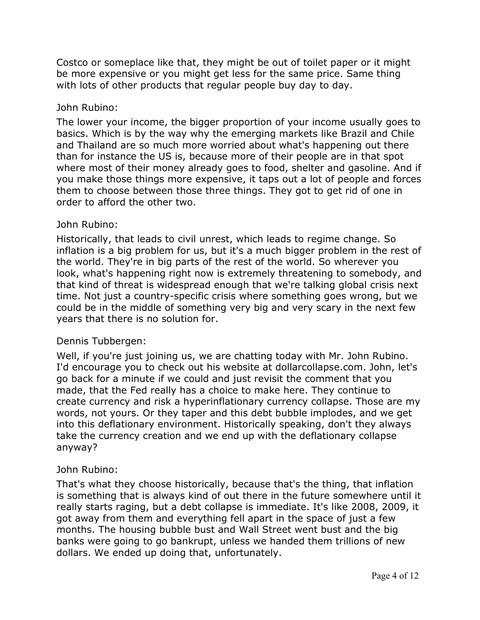Costco or someplace like that, they might be out of toilet paper or it might be more expensive or you might get less for the same price. Same thing with lots of other products that regular people buy day to day.

# John Rubino:

The lower your income, the bigger proportion of your income usually goes to basics. Which is by the way why the emerging markets like Brazil and Chile and Thailand are so much more worried about what's happening out there than for instance the US is, because more of their people are in that spot where most of their money already goes to food, shelter and gasoline. And if you make those things more expensive, it taps out a lot of people and forces them to choose between those three things. They got to get rid of one in order to afford the other two.

# John Rubino:

Historically, that leads to civil unrest, which leads to regime change. So inflation is a big problem for us, but it's a much bigger problem in the rest of the world. They're in big parts of the rest of the world. So wherever you look, what's happening right now is extremely threatening to somebody, and that kind of threat is widespread enough that we're talking global crisis next time. Not just a country-specific crisis where something goes wrong, but we could be in the middle of something very big and very scary in the next few years that there is no solution for.

# Dennis Tubbergen:

Well, if you're just joining us, we are chatting today with Mr. John Rubino. I'd encourage you to check out his website at dollarcollapse.com. John, let's go back for a minute if we could and just revisit the comment that you made, that the Fed really has a choice to make here. They continue to create currency and risk a hyperinflationary currency collapse. Those are my words, not yours. Or they taper and this debt bubble implodes, and we get into this deflationary environment. Historically speaking, don't they always take the currency creation and we end up with the deflationary collapse anyway?

# John Rubino:

That's what they choose historically, because that's the thing, that inflation is something that is always kind of out there in the future somewhere until it really starts raging, but a debt collapse is immediate. It's like 2008, 2009, it got away from them and everything fell apart in the space of just a few months. The housing bubble bust and Wall Street went bust and the big banks were going to go bankrupt, unless we handed them trillions of new dollars. We ended up doing that, unfortunately.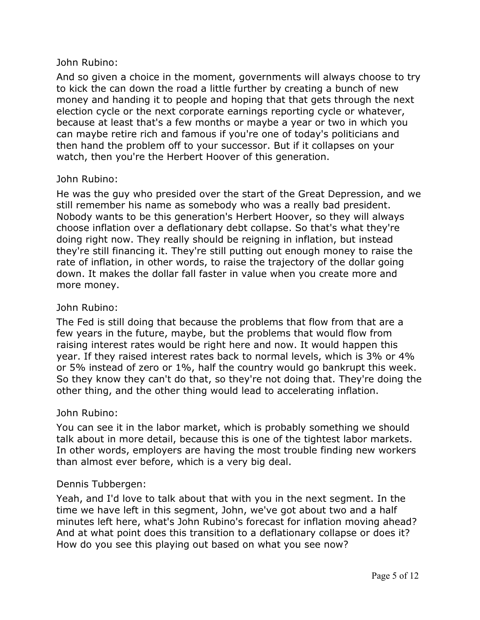And so given a choice in the moment, governments will always choose to try to kick the can down the road a little further by creating a bunch of new money and handing it to people and hoping that that gets through the next election cycle or the next corporate earnings reporting cycle or whatever, because at least that's a few months or maybe a year or two in which you can maybe retire rich and famous if you're one of today's politicians and then hand the problem off to your successor. But if it collapses on your watch, then you're the Herbert Hoover of this generation.

## John Rubino:

He was the guy who presided over the start of the Great Depression, and we still remember his name as somebody who was a really bad president. Nobody wants to be this generation's Herbert Hoover, so they will always choose inflation over a deflationary debt collapse. So that's what they're doing right now. They really should be reigning in inflation, but instead they're still financing it. They're still putting out enough money to raise the rate of inflation, in other words, to raise the trajectory of the dollar going down. It makes the dollar fall faster in value when you create more and more money.

## John Rubino:

The Fed is still doing that because the problems that flow from that are a few years in the future, maybe, but the problems that would flow from raising interest rates would be right here and now. It would happen this year. If they raised interest rates back to normal levels, which is 3% or 4% or 5% instead of zero or 1%, half the country would go bankrupt this week. So they know they can't do that, so they're not doing that. They're doing the other thing, and the other thing would lead to accelerating inflation.

#### John Rubino:

You can see it in the labor market, which is probably something we should talk about in more detail, because this is one of the tightest labor markets. In other words, employers are having the most trouble finding new workers than almost ever before, which is a very big deal.

# Dennis Tubbergen:

Yeah, and I'd love to talk about that with you in the next segment. In the time we have left in this segment, John, we've got about two and a half minutes left here, what's John Rubino's forecast for inflation moving ahead? And at what point does this transition to a deflationary collapse or does it? How do you see this playing out based on what you see now?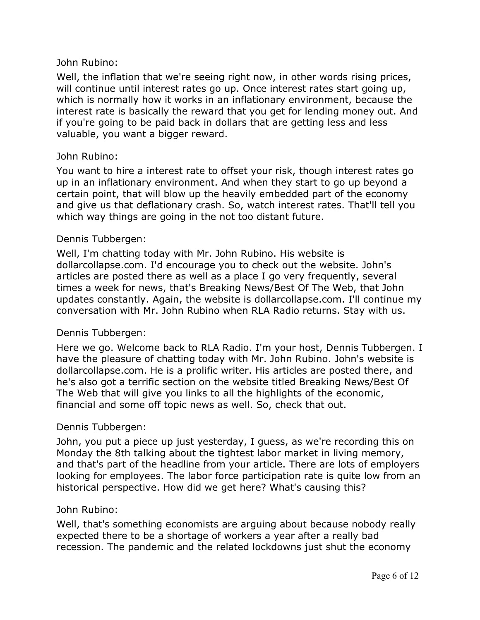Well, the inflation that we're seeing right now, in other words rising prices, will continue until interest rates go up. Once interest rates start going up, which is normally how it works in an inflationary environment, because the interest rate is basically the reward that you get for lending money out. And if you're going to be paid back in dollars that are getting less and less valuable, you want a bigger reward.

## John Rubino:

You want to hire a interest rate to offset your risk, though interest rates go up in an inflationary environment. And when they start to go up beyond a certain point, that will blow up the heavily embedded part of the economy and give us that deflationary crash. So, watch interest rates. That'll tell you which way things are going in the not too distant future.

## Dennis Tubbergen:

Well, I'm chatting today with Mr. John Rubino. His website is dollarcollapse.com. I'd encourage you to check out the website. John's articles are posted there as well as a place I go very frequently, several times a week for news, that's Breaking News/Best Of The Web, that John updates constantly. Again, the website is dollarcollapse.com. I'll continue my conversation with Mr. John Rubino when RLA Radio returns. Stay with us.

# Dennis Tubbergen:

Here we go. Welcome back to RLA Radio. I'm your host, Dennis Tubbergen. I have the pleasure of chatting today with Mr. John Rubino. John's website is dollarcollapse.com. He is a prolific writer. His articles are posted there, and he's also got a terrific section on the website titled Breaking News/Best Of The Web that will give you links to all the highlights of the economic, financial and some off topic news as well. So, check that out.

#### Dennis Tubbergen:

John, you put a piece up just yesterday, I guess, as we're recording this on Monday the 8th talking about the tightest labor market in living memory, and that's part of the headline from your article. There are lots of employers looking for employees. The labor force participation rate is quite low from an historical perspective. How did we get here? What's causing this?

#### John Rubino:

Well, that's something economists are arguing about because nobody really expected there to be a shortage of workers a year after a really bad recession. The pandemic and the related lockdowns just shut the economy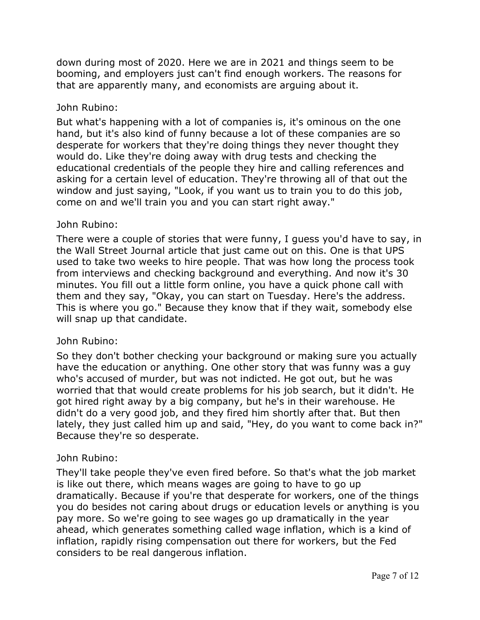down during most of 2020. Here we are in 2021 and things seem to be booming, and employers just can't find enough workers. The reasons for that are apparently many, and economists are arguing about it.

## John Rubino:

But what's happening with a lot of companies is, it's ominous on the one hand, but it's also kind of funny because a lot of these companies are so desperate for workers that they're doing things they never thought they would do. Like they're doing away with drug tests and checking the educational credentials of the people they hire and calling references and asking for a certain level of education. They're throwing all of that out the window and just saying, "Look, if you want us to train you to do this job, come on and we'll train you and you can start right away."

## John Rubino:

There were a couple of stories that were funny, I guess you'd have to say, in the Wall Street Journal article that just came out on this. One is that UPS used to take two weeks to hire people. That was how long the process took from interviews and checking background and everything. And now it's 30 minutes. You fill out a little form online, you have a quick phone call with them and they say, "Okay, you can start on Tuesday. Here's the address. This is where you go." Because they know that if they wait, somebody else will snap up that candidate.

# John Rubino:

So they don't bother checking your background or making sure you actually have the education or anything. One other story that was funny was a guy who's accused of murder, but was not indicted. He got out, but he was worried that that would create problems for his job search, but it didn't. He got hired right away by a big company, but he's in their warehouse. He didn't do a very good job, and they fired him shortly after that. But then lately, they just called him up and said, "Hey, do you want to come back in?" Because they're so desperate.

#### John Rubino:

They'll take people they've even fired before. So that's what the job market is like out there, which means wages are going to have to go up dramatically. Because if you're that desperate for workers, one of the things you do besides not caring about drugs or education levels or anything is you pay more. So we're going to see wages go up dramatically in the year ahead, which generates something called wage inflation, which is a kind of inflation, rapidly rising compensation out there for workers, but the Fed considers to be real dangerous inflation.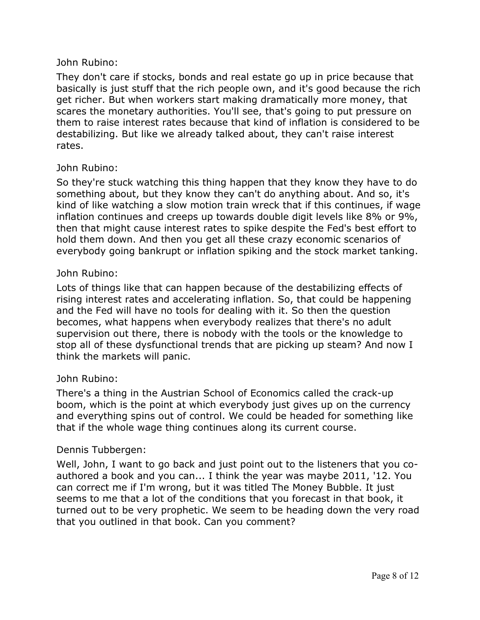They don't care if stocks, bonds and real estate go up in price because that basically is just stuff that the rich people own, and it's good because the rich get richer. But when workers start making dramatically more money, that scares the monetary authorities. You'll see, that's going to put pressure on them to raise interest rates because that kind of inflation is considered to be destabilizing. But like we already talked about, they can't raise interest rates.

## John Rubino:

So they're stuck watching this thing happen that they know they have to do something about, but they know they can't do anything about. And so, it's kind of like watching a slow motion train wreck that if this continues, if wage inflation continues and creeps up towards double digit levels like 8% or 9%, then that might cause interest rates to spike despite the Fed's best effort to hold them down. And then you get all these crazy economic scenarios of everybody going bankrupt or inflation spiking and the stock market tanking.

## John Rubino:

Lots of things like that can happen because of the destabilizing effects of rising interest rates and accelerating inflation. So, that could be happening and the Fed will have no tools for dealing with it. So then the question becomes, what happens when everybody realizes that there's no adult supervision out there, there is nobody with the tools or the knowledge to stop all of these dysfunctional trends that are picking up steam? And now I think the markets will panic.

#### John Rubino:

There's a thing in the Austrian School of Economics called the crack-up boom, which is the point at which everybody just gives up on the currency and everything spins out of control. We could be headed for something like that if the whole wage thing continues along its current course.

#### Dennis Tubbergen:

Well, John, I want to go back and just point out to the listeners that you coauthored a book and you can... I think the year was maybe 2011, '12. You can correct me if I'm wrong, but it was titled The Money Bubble. It just seems to me that a lot of the conditions that you forecast in that book, it turned out to be very prophetic. We seem to be heading down the very road that you outlined in that book. Can you comment?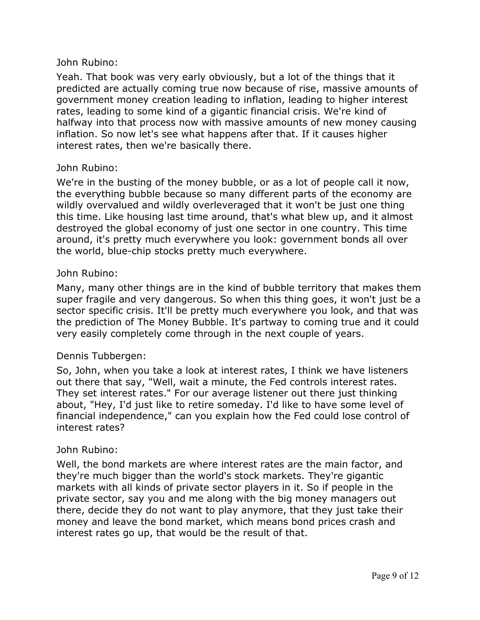Yeah. That book was very early obviously, but a lot of the things that it predicted are actually coming true now because of rise, massive amounts of government money creation leading to inflation, leading to higher interest rates, leading to some kind of a gigantic financial crisis. We're kind of halfway into that process now with massive amounts of new money causing inflation. So now let's see what happens after that. If it causes higher interest rates, then we're basically there.

## John Rubino:

We're in the busting of the money bubble, or as a lot of people call it now, the everything bubble because so many different parts of the economy are wildly overvalued and wildly overleveraged that it won't be just one thing this time. Like housing last time around, that's what blew up, and it almost destroyed the global economy of just one sector in one country. This time around, it's pretty much everywhere you look: government bonds all over the world, blue-chip stocks pretty much everywhere.

## John Rubino:

Many, many other things are in the kind of bubble territory that makes them super fragile and very dangerous. So when this thing goes, it won't just be a sector specific crisis. It'll be pretty much everywhere you look, and that was the prediction of The Money Bubble. It's partway to coming true and it could very easily completely come through in the next couple of years.

#### Dennis Tubbergen:

So, John, when you take a look at interest rates, I think we have listeners out there that say, "Well, wait a minute, the Fed controls interest rates. They set interest rates." For our average listener out there just thinking about, "Hey, I'd just like to retire someday. I'd like to have some level of financial independence," can you explain how the Fed could lose control of interest rates?

#### John Rubino:

Well, the bond markets are where interest rates are the main factor, and they're much bigger than the world's stock markets. They're gigantic markets with all kinds of private sector players in it. So if people in the private sector, say you and me along with the big money managers out there, decide they do not want to play anymore, that they just take their money and leave the bond market, which means bond prices crash and interest rates go up, that would be the result of that.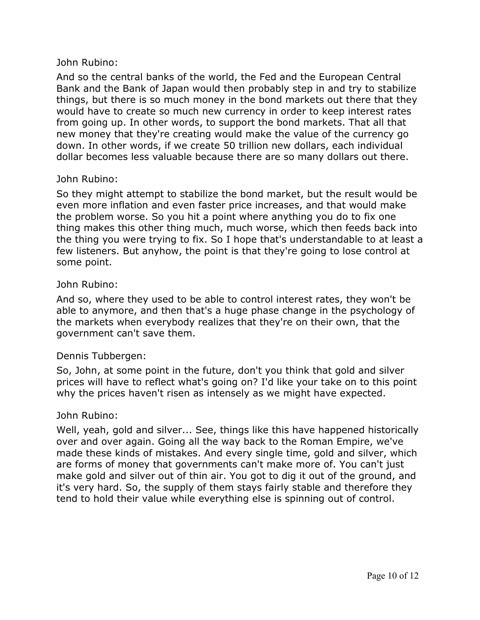And so the central banks of the world, the Fed and the European Central Bank and the Bank of Japan would then probably step in and try to stabilize things, but there is so much money in the bond markets out there that they would have to create so much new currency in order to keep interest rates from going up. In other words, to support the bond markets. That all that new money that they're creating would make the value of the currency go down. In other words, if we create 50 trillion new dollars, each individual dollar becomes less valuable because there are so many dollars out there.

## John Rubino:

So they might attempt to stabilize the bond market, but the result would be even more inflation and even faster price increases, and that would make the problem worse. So you hit a point where anything you do to fix one thing makes this other thing much, much worse, which then feeds back into the thing you were trying to fix. So I hope that's understandable to at least a few listeners. But anyhow, the point is that they're going to lose control at some point.

## John Rubino:

And so, where they used to be able to control interest rates, they won't be able to anymore, and then that's a huge phase change in the psychology of the markets when everybody realizes that they're on their own, that the government can't save them.

#### Dennis Tubbergen:

So, John, at some point in the future, don't you think that gold and silver prices will have to reflect what's going on? I'd like your take on to this point why the prices haven't risen as intensely as we might have expected.

#### John Rubino:

Well, yeah, gold and silver... See, things like this have happened historically over and over again. Going all the way back to the Roman Empire, we've made these kinds of mistakes. And every single time, gold and silver, which are forms of money that governments can't make more of. You can't just make gold and silver out of thin air. You got to dig it out of the ground, and it's very hard. So, the supply of them stays fairly stable and therefore they tend to hold their value while everything else is spinning out of control.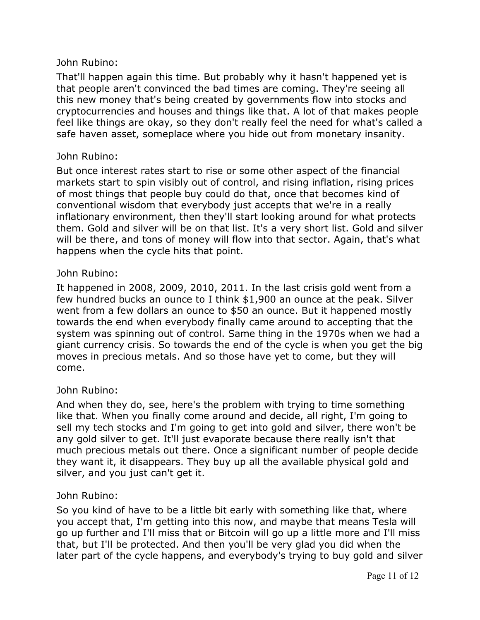That'll happen again this time. But probably why it hasn't happened yet is that people aren't convinced the bad times are coming. They're seeing all this new money that's being created by governments flow into stocks and cryptocurrencies and houses and things like that. A lot of that makes people feel like things are okay, so they don't really feel the need for what's called a safe haven asset, someplace where you hide out from monetary insanity.

## John Rubino:

But once interest rates start to rise or some other aspect of the financial markets start to spin visibly out of control, and rising inflation, rising prices of most things that people buy could do that, once that becomes kind of conventional wisdom that everybody just accepts that we're in a really inflationary environment, then they'll start looking around for what protects them. Gold and silver will be on that list. It's a very short list. Gold and silver will be there, and tons of money will flow into that sector. Again, that's what happens when the cycle hits that point.

## John Rubino:

It happened in 2008, 2009, 2010, 2011. In the last crisis gold went from a few hundred bucks an ounce to I think \$1,900 an ounce at the peak. Silver went from a few dollars an ounce to \$50 an ounce. But it happened mostly towards the end when everybody finally came around to accepting that the system was spinning out of control. Same thing in the 1970s when we had a giant currency crisis. So towards the end of the cycle is when you get the big moves in precious metals. And so those have yet to come, but they will come.

#### John Rubino:

And when they do, see, here's the problem with trying to time something like that. When you finally come around and decide, all right, I'm going to sell my tech stocks and I'm going to get into gold and silver, there won't be any gold silver to get. It'll just evaporate because there really isn't that much precious metals out there. Once a significant number of people decide they want it, it disappears. They buy up all the available physical gold and silver, and you just can't get it.

# John Rubino:

So you kind of have to be a little bit early with something like that, where you accept that, I'm getting into this now, and maybe that means Tesla will go up further and I'll miss that or Bitcoin will go up a little more and I'll miss that, but I'll be protected. And then you'll be very glad you did when the later part of the cycle happens, and everybody's trying to buy gold and silver